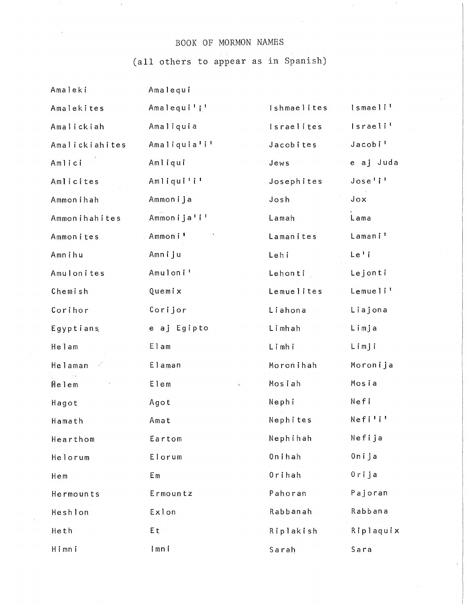## BOOK OF MORMON NAMES

(all others to appear as in Spanish)

| Amaleki        | Amalequi                     |             |                      |
|----------------|------------------------------|-------------|----------------------|
| Amalekites     | Amalequi'i'                  | Ishmaelites | Ismaeli <sup>1</sup> |
| Amalickiah     | Amaliquia                    | Israelites  | Israeli'             |
| Amalickiahites | Amaliquia'i'                 | Jacobites   | Jacobi'              |
| Amlici         | Amliqui                      | Jews        | e aj Juda            |
| Amlicites      | Amliqui'i'                   | Josephites  | Jose'                |
| Ammonihah      | Ammonija                     | Josh        | Jox                  |
| Ammonihahites  | Ammonija'i'                  | Lamah       | Lama                 |
| Ammonites      | Ammoni'                      | Lamanites   | Lamani'              |
| Amnihu         | Amniju                       | Lehi        | $Le'$ i              |
| Amulonites     | Amuloni <sup>1</sup>         | Lehonti     | Lejonti              |
| Chemish        | Quemix                       | Lemuelites  | Lemueli'             |
| Corihor        | Corijor                      | Liahona     | Liajona              |
| Egyptians      | e aj Egipto                  | Limhah      | Limja                |
| Helam          | Elam                         | Limhi       | Limji                |
| Helaman        | Elaman                       | Moronihah   | Moronija             |
| Helem          | Elem<br>$\tilde{\mathbf{k}}$ | Mosiah      | Mosia                |
| Hagot          | Agot                         | Nephi       | Nefi                 |
| Hamath         | Amat                         | Nephites    | Nefili               |
| Hearthom       | Eartom                       | Nephihah    | Nefija               |
| Helorum        | Elorum                       | Onihah      | Onija                |
| Hem            | Em                           | Orihah      | 0rija                |
| Hermounts      | Ermountz                     | Pahoran     | Pajoran              |
| Heshlon        | Exlon                        | Rabbanah    | Rabbana              |
| Heth           | Et                           | Riplakish   | Riplaquix            |
| Himni          | Imni                         | Sarah       | Sara                 |